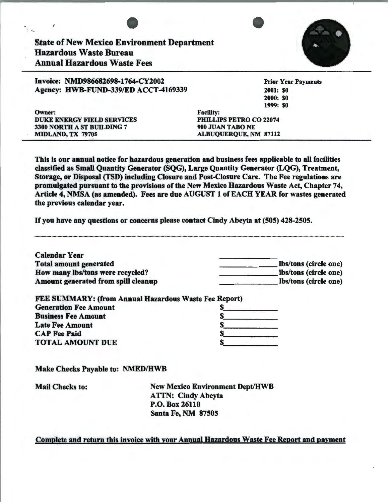

This is our annual notice for hazardous generation and business fees applicable to all facilities classified as Small Quantity Generator (SQG), Large Quantity Generator (LQG), Treatment, Storage, or Disposal (TSD) including Closure and Post-Closure Care. The Fee regulations are promulgated pursuant to the provisions of the New Mexico Hazardous Waste Act, Chapter 74, Article 4, NMSA (as amended). Fees are due AUGUST 1 of EACH YEAR for wastes generated the previous calendar year.

If you have any questions or concerns please contact Cindy Abeyta at (505) 428-2505.

| <b>Calendar Year</b>                                  |                       |
|-------------------------------------------------------|-----------------------|
| <b>Total amount generated</b>                         | lbs/tons (circle one) |
| How many lbs/tons were recycled?                      | Ibs/tons (circle one) |
| Amount generated from spill cleanup                   | Ibs/tons (circle one) |
| FEE SUMMARY: (from Annual Hazardous Waste Fee Report) |                       |
| <b>Generation Fee Amount</b>                          |                       |
| <b>Business Fee Amount</b>                            |                       |
|                                                       |                       |
| <b>Late Fee Amount</b>                                |                       |
| <b>CAP Fee Paid</b>                                   |                       |

Make Checks Payable to: NMED/HWB

| <b>Mail Checks to:</b> | <b>New Mexico Environment Dept/HWB</b> |
|------------------------|----------------------------------------|
|                        | <b>ATTN: Cindy Abeyta</b>              |
|                        | P.O. Box 26110                         |
|                        | <b>Santa Fe, NM 87505</b><br>$\bullet$ |

### Complete and return this invoice with your Annual Hazardous Waste Fee Report and payment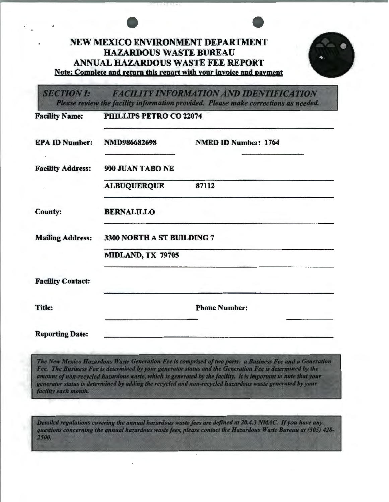# NEW MEXICO ENVIRONMENT DEPARTMENT HAZARDOUS WASTE BUREAU ANNUAL HAZARDOUS WASTE FEE REPORT Note: Complete and return this report with your invoice and payment

**SECTION I: FACILITY INFORMATION AND IDENTIFICATION** Please review the facility information provided. Please make corrections as needed.

| <b>Facility Name:</b>    | <b>PHILLIPS PETRO CO 22074</b> |                             |
|--------------------------|--------------------------------|-----------------------------|
| <b>EPA ID Number:</b>    | NMD986682698                   | <b>NMED ID Number: 1764</b> |
| <b>Facility Address:</b> | 900 JUAN TABO NE               |                             |
|                          | <b>ALBUQUERQUE</b>             | 87112                       |
| <b>County:</b>           | <b>BERNALILLO</b>              |                             |
| <b>Mailing Address:</b>  | 3300 NORTH A ST BUILDING 7     |                             |
|                          | MIDLAND, TX 79705              |                             |
| <b>Facility Contact:</b> |                                |                             |
| <b>Title:</b>            |                                | <b>Phone Number:</b>        |
| <b>Reporting Date:</b>   |                                |                             |

The New Mexico Hazardous Waste Generation Fee is comprised of two parts: a Business Fee and a Generation Fee. The Business Fee is determined by your generator status and the Generation Fee is determined by the amount of non-recycled hazardous waste, which is generated by the facility. It is important to note that your generator status is determined by adding the recycled and non-recycled hazardous waste generated by your facility each month.

Detailed regulations covering the annual hazardous waste fees are defined at 20.4.3 NMAC. If you have any questions concerning the annual hazardous waste fees, please contact the Hazardous Waste Bureau at (505) 428-2500.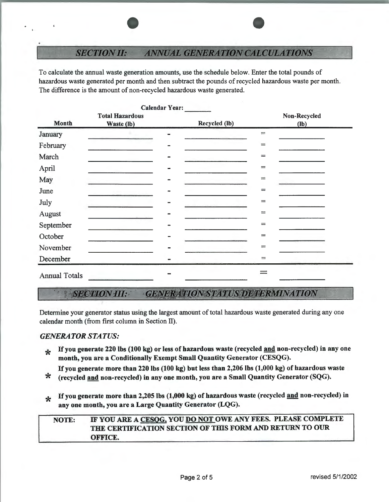### **SECTION II: ANNUAL GENERATION CALCULATIONS**

To calculate the annual waste generation amounts, use the schedule below. Enter the total pounds of hazardous waste generated per month and then subtract the pounds of recycled hazardous waste per month. The difference is the amount of non-recycled hazardous waste generated.

|                      |                        |                | Calendar Year: |                         |              |
|----------------------|------------------------|----------------|----------------|-------------------------|--------------|
|                      | <b>Total Hazardous</b> |                |                |                         | Non-Recycled |
| <b>Month</b>         | Waste (lb)             |                | Recycled (lb)  |                         | $(lb)$       |
| January              |                        |                |                | $\qquad \qquad =\qquad$ |              |
| February             |                        |                |                | $=$                     |              |
| March                |                        | $\blacksquare$ |                | $=$                     |              |
| April                |                        |                |                | $\equiv$                |              |
| May                  |                        |                |                | $=$                     |              |
| June                 |                        |                |                | $=$                     |              |
| July                 |                        |                |                | $=$                     |              |
| August               |                        |                |                | $=$                     |              |
| September            |                        |                |                | $=$                     |              |
| October              |                        |                |                | $=$                     |              |
| November             |                        |                |                | $=$                     |              |
| December             |                        |                |                | $=$                     |              |
| <b>Annual Totals</b> |                        |                |                |                         |              |

### **GENERATION STATUS DETERMINATION SECTION III:**

Determine your generator status using the largest amount of total hazardous waste generated during any one calendar month (from first column in Section II).

### *GENERATOR STATUS:*

- $\frac{1}{25}$  If you generate 220 lbs (100 kg) or less of hazardous waste (recycled and non-recycled) in any one month, you are a Conditionally Exempt Small Quantity Generator (CESQG).
- If you generate more than 220 lbs (100 kg) but less than 2,206 lbs (1,000 kg) of hazardous waste<br>  $\star$  (recycled and non-recycled) in any one month, you are a Small Quantity Generator (SQG).
- 
- \* If you generate more than 2,205 lbs  $(1,000 \text{ kg})$  of hazardous waste (recycled and non-recycled) in any one month, you are a Large Quantity Generator (LQG).

## NOTE: IF YOU ARE A CESQG, YOU DO NOT OWE ANY FEES. PLEASE COMPLETE THE CERTIFICATION SECTION OF THIS FORM AND RETURN TO OUR OFFICE.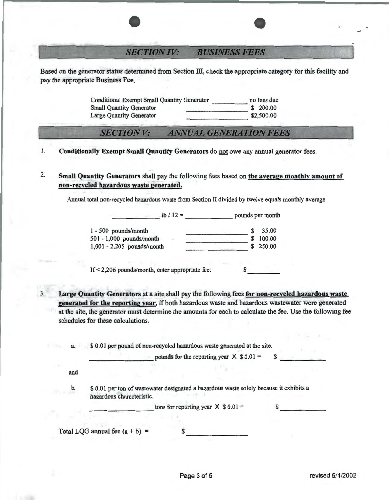### **SECTION IV: BUSINESS FEES**

Based on the generator status determined from Section III, check the appropriate category for this facility and pay the appropriate Business Fee.

> Conditional Exempt Small Quantity Generator -··-·---.. --... - no fees due Small Quantity Generator<br>
> Large Quantity Generator<br>
> \$2.500.00 Large Quantity Generator

#### **ANNUAL GENERATION FEES SECTION V:**

- 1. Conditionally Exempt Small Quantity Generators do not owe any annual generator fees.
- 2. Small Quantity Generators shall pay the following fees based on the average monthly amount of non-recycled hazardous waste generated.

Annual total non-recycled hazardous waste from Section II divided by twelve equals monthly average

 $\ln l \cdot 12 =$  pounds per month

| $1 - 500$ pounds/month       |  | 35.00    |
|------------------------------|--|----------|
| $501 - 1,000$ pounds/month   |  | \$100.00 |
| $1,001 - 2,205$ pounds/month |  | \$250.00 |
|                              |  |          |

If  $\leq$  2,206 pounds/month, enter appropriate fee:  $-1$ 

3. Large Quantity Generators at a site shall pay the following fees for non-recycled hazardous waste generated for the reporting year, if both hazardous waste and hazardous wastewater were generated at the site, the generator must determine the amounts for each to calculate the fee. Use the following fee schedules for these calculations.

|     | pounds for the reporting year $X$ \$ 0.01 =                                                                          |  |
|-----|----------------------------------------------------------------------------------------------------------------------|--|
| and |                                                                                                                      |  |
| b.  | \$ 0.01 per ton of wastewater designated a hazardous waste solely because it exhibits a<br>hazardous characteristic. |  |
|     | tons for reporting year $X$ \$ 0.01 =                                                                                |  |
|     |                                                                                                                      |  |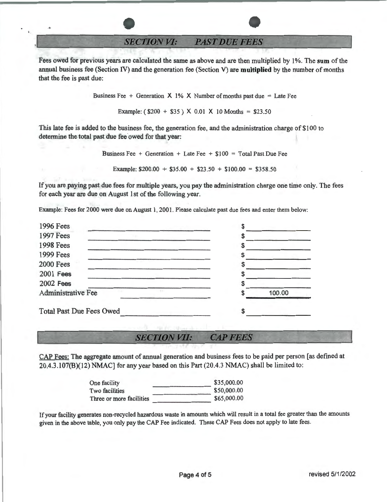**SECTION VI: PAST DUE FEES** 

Fees owed for previous years are calculated the same as above and are then multiplied by 1%. The **sum** of the annual business fee (Section IV) and the generation fee (Section V) are **multiplied** by the number of months that the fee is past due:

Business Fee + Generation  $X$  1%  $X$  Number of months past due = Late Fee

Example:  $(S200 + S35)$  X 0.01 X 10 Months = \$23.50

This late fee is added to the business fee, the generation fee, and the administration charge of \$100 to determine the total past due fee owed for that year:

Business Fee + Generation + Late Fee +  $$100 = Total Past Due Fe$ 

Example:  $$200.00 + $35.00 + $23.50 + $100.00 = $358.50$ 

If you are paying past due fees for multiple years, you pay the administration charge one time only. The fees for each year are due on August 1st of the following year.

Example: Fees for 2000 were due on August 1, 2001. Please calculate past due fees and enter them below:

| <b>1996 Fees</b>                |        |
|---------------------------------|--------|
| <b>1997 Fees</b>                |        |
| <b>1998 Fees</b>                |        |
| 1999 Fees                       |        |
| <b>2000 Fees</b>                |        |
| <b>2001 Fees</b>                |        |
| <b>2002 Fees</b>                |        |
| Administrative Fee              | 100.00 |
| <b>Total Past Due Fees Owed</b> |        |

**CAP FEES SECTION VII:** 

CAP Fees: The aggregate amount of annual generation and business fees to be paid per person [as defined at 20.4.3.107(B)(12) NMAC] for any year based on this Part (20.4.3 NMAC) shall be limited to:

| One facility             | \$35,000.00 |
|--------------------------|-------------|
| Two facilities           | \$50,000.00 |
| Three or more facilities | \$65,000.00 |
|                          |             |

If your facility generates non-recycled hazardous waste in amounts which will result in a total fee greater than the amounts given in the above table, you only pay the CAP Fee indicated. These CAP Fees does not apply to late fees.